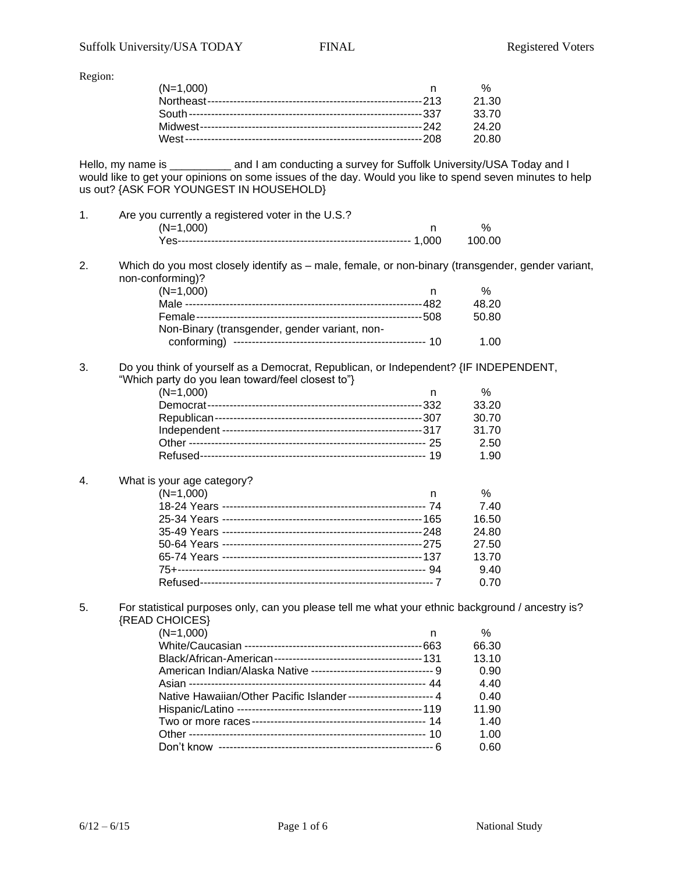Region:

| $(N=1,000)$ | %     |
|-------------|-------|
|             | 21.30 |
|             | 33.70 |
|             | 24.20 |
|             | 20.80 |

Hello, my name is **Example 2** and I am conducting a survey for Suffolk University/USA Today and I would like to get your opinions on some issues of the day. Would you like to spend seven minutes to help us out? {ASK FOR YOUNGEST IN HOUSEHOLD}

- 1. Are you currently a registered voter in the U.S.?  $(N=1,000)$  n % Yes--------------------------------------------------------------- 1,000 100.00
- 2. Which do you most closely identify as male, female, or non-binary (transgender, gender variant, non-conforming)?

| $(N=1,000)$                                   |       |
|-----------------------------------------------|-------|
|                                               | 48.20 |
|                                               | 50.80 |
| Non-Binary (transgender, gender variant, non- |       |
|                                               | 1 በበ  |

## 3. Do you think of yourself as a Democrat, Republican, or Independent? {IF INDEPENDENT, "Which party do you lean toward/feel closest to"}

| $(N=1,000)$ | n | %     |
|-------------|---|-------|
|             |   | 33.20 |
|             |   | 30.70 |
|             |   | 31.70 |
|             |   | 2.50  |
|             |   | 1.90  |
|             |   |       |

## 4. What is your age category?

| $(N=1,000)$ | n | %     |
|-------------|---|-------|
|             |   | 7.40  |
|             |   | 16.50 |
|             |   | 24.80 |
|             |   | 27.50 |
|             |   | 13.70 |
|             |   | 9.40  |
|             |   | 0.70  |
|             |   |       |

5. For statistical purposes only, can you please tell me what your ethnic background / ancestry is? {READ CHOICES}

| $(N=1,000)$<br>n                                                 | $\%$  |
|------------------------------------------------------------------|-------|
|                                                                  | 66.30 |
|                                                                  | 13.10 |
|                                                                  | 0.90  |
|                                                                  | 4.40  |
| Native Hawaiian/Other Pacific Islander------------------------ 4 | 0.40  |
|                                                                  | 11.90 |
|                                                                  | 1.40  |
|                                                                  | 1.00  |
|                                                                  | 0.60  |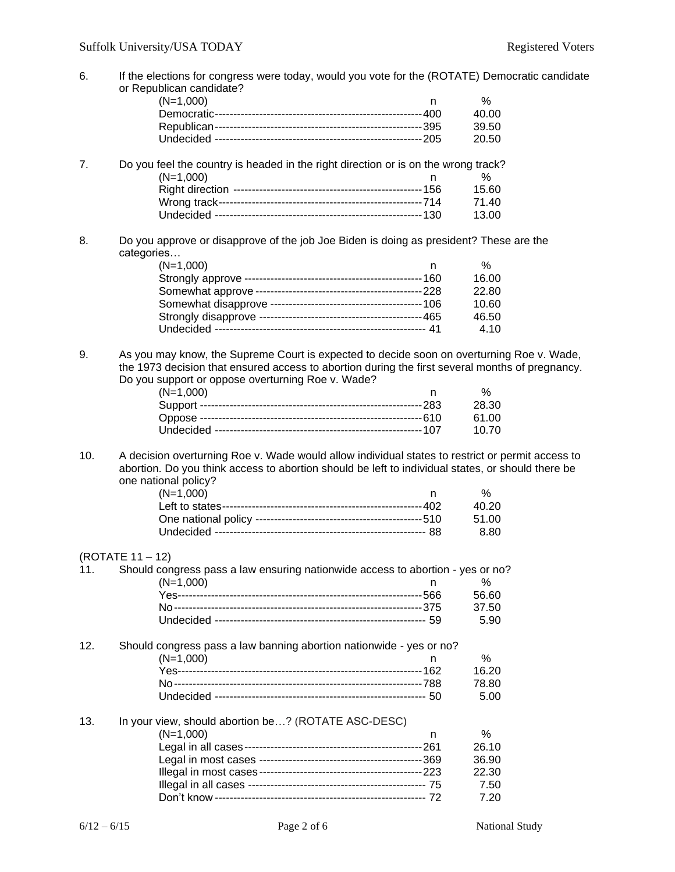| 6.  | If the elections for congress were today, would you vote for the (ROTATE) Democratic candidate<br>or Republican candidate?                                                                                                                        |    |       |
|-----|---------------------------------------------------------------------------------------------------------------------------------------------------------------------------------------------------------------------------------------------------|----|-------|
|     | $(N=1,000)$                                                                                                                                                                                                                                       | n. | %     |
|     |                                                                                                                                                                                                                                                   |    | 40.00 |
|     |                                                                                                                                                                                                                                                   |    | 39.50 |
|     |                                                                                                                                                                                                                                                   |    | 20.50 |
|     |                                                                                                                                                                                                                                                   |    |       |
| 7.  | Do you feel the country is headed in the right direction or is on the wrong track?                                                                                                                                                                |    |       |
|     | $(N=1,000)$                                                                                                                                                                                                                                       | n  | %     |
|     |                                                                                                                                                                                                                                                   |    | 15.60 |
|     |                                                                                                                                                                                                                                                   |    | 71.40 |
|     |                                                                                                                                                                                                                                                   |    | 13.00 |
| 8.  | Do you approve or disapprove of the job Joe Biden is doing as president? These are the<br>categories                                                                                                                                              |    |       |
|     | $(N=1,000)$                                                                                                                                                                                                                                       | n  | $\%$  |
|     |                                                                                                                                                                                                                                                   |    | 16.00 |
|     |                                                                                                                                                                                                                                                   |    | 22.80 |
|     |                                                                                                                                                                                                                                                   |    | 10.60 |
|     |                                                                                                                                                                                                                                                   |    | 46.50 |
|     |                                                                                                                                                                                                                                                   |    | 4.10  |
|     |                                                                                                                                                                                                                                                   |    |       |
| 9.  | As you may know, the Supreme Court is expected to decide soon on overturning Roe v. Wade,<br>the 1973 decision that ensured access to abortion during the first several months of pregnancy.<br>Do you support or oppose overturning Roe v. Wade? |    |       |
|     | $(N=1,000)$                                                                                                                                                                                                                                       | n. | %     |
|     |                                                                                                                                                                                                                                                   |    | 28.30 |
|     |                                                                                                                                                                                                                                                   |    | 61.00 |
|     |                                                                                                                                                                                                                                                   |    |       |
|     |                                                                                                                                                                                                                                                   |    | 10.70 |
| 10. | A decision overturning Roe v. Wade would allow individual states to restrict or permit access to<br>abortion. Do you think access to abortion should be left to individual states, or should there be                                             |    |       |
|     | one national policy?                                                                                                                                                                                                                              |    |       |
|     | $(N=1,000)$                                                                                                                                                                                                                                       | n. | %     |
|     |                                                                                                                                                                                                                                                   |    | 40.20 |
|     |                                                                                                                                                                                                                                                   |    | 51.00 |
|     |                                                                                                                                                                                                                                                   |    | 8.80  |
|     | (ROTATE 11 – 12)                                                                                                                                                                                                                                  |    |       |
| 11. | Should congress pass a law ensuring nationwide access to abortion - yes or no?                                                                                                                                                                    |    |       |
|     | $(N=1,000)$                                                                                                                                                                                                                                       | n  | %     |
|     |                                                                                                                                                                                                                                                   |    | 56.60 |
|     |                                                                                                                                                                                                                                                   |    | 37.50 |
|     |                                                                                                                                                                                                                                                   |    | 5.90  |
| 12. | Should congress pass a law banning abortion nationwide - yes or no?                                                                                                                                                                               |    |       |
|     | $(N=1,000)$                                                                                                                                                                                                                                       |    | %     |
|     |                                                                                                                                                                                                                                                   |    | 16.20 |
|     |                                                                                                                                                                                                                                                   |    | 78.80 |
|     |                                                                                                                                                                                                                                                   |    | 5.00  |
| 13. | In your view, should abortion be? (ROTATE ASC-DESC)                                                                                                                                                                                               |    |       |
|     | $(N=1,000)$                                                                                                                                                                                                                                       | n  | $\%$  |
|     |                                                                                                                                                                                                                                                   |    | 26.10 |
|     |                                                                                                                                                                                                                                                   |    | 36.90 |
|     |                                                                                                                                                                                                                                                   |    | 22.30 |
|     |                                                                                                                                                                                                                                                   |    | 7.50  |

Don't know --------------------------------------------------------- 72 7.20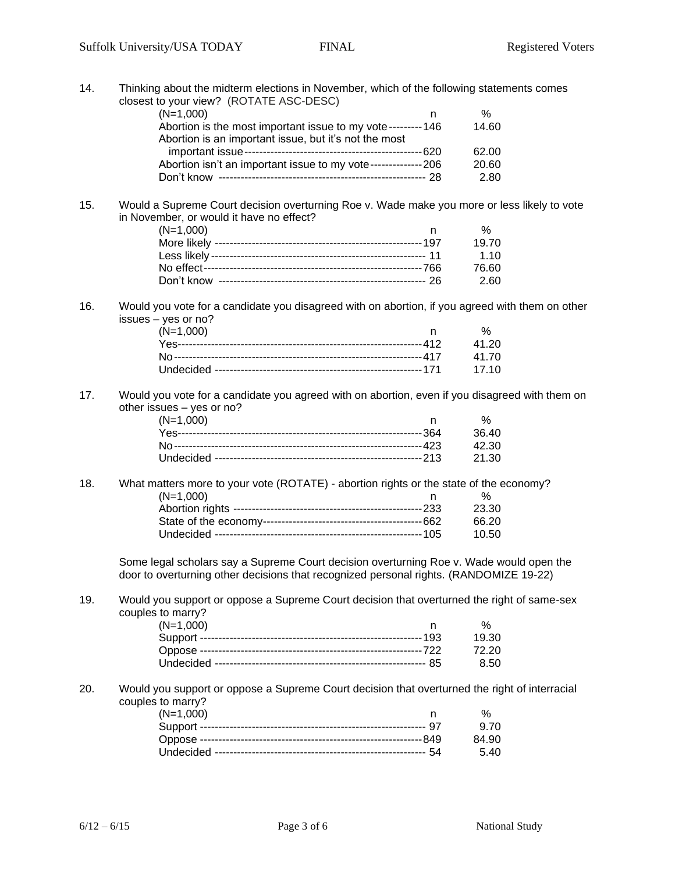14. Thinking about the midterm elections in November, which of the following statements comes closest to your view? (ROTATE ASC-DESC)

| $(N=1,000)$                                                    | %     |
|----------------------------------------------------------------|-------|
| Abortion is the most important issue to my vote---------146    | 14.60 |
| Abortion is an important issue, but it's not the most          |       |
|                                                                | 62.00 |
| Abortion isn't an important issue to my vote---------------206 | 20.60 |
| Don't know                                                     | 2.80  |

15. Would a Supreme Court decision overturning Roe v. Wade make you more or less likely to vote in November, or would it have no effect?

| $(N=1,000)$ | %     |
|-------------|-------|
|             | 19.70 |
|             | 1.10  |
|             | 76.60 |
|             | 2.60  |

16. Would you vote for a candidate you disagreed with on abortion, if you agreed with them on other issues – yes or no?

| $(N=1,000)$ | % |
|-------------|---|
|             |   |
|             |   |
|             |   |
|             |   |

17. Would you vote for a candidate you agreed with on abortion, even if you disagreed with them on other issues – yes or no?

| $(N=1,000)$ | $\frac{1}{2}$ |
|-------------|---------------|
|             |               |
|             |               |
|             |               |

18. What matters more to your vote (ROTATE) - abortion rights or the state of the economy? (N=1,000) n % Abortion rights ---------------------------------------------------233 23.30 State of the economy-------------------------------------------662 66.20 Undecided --------------------------------------------------------105 10.50

Some legal scholars say a Supreme Court decision overturning Roe v. Wade would open the door to overturning other decisions that recognized personal rights. (RANDOMIZE 19-22)

19. Would you support or oppose a Supreme Court decision that overturned the right of same-sex couples to marry?

| $(N=1,000)$ | %     |
|-------------|-------|
|             | 19.30 |
|             | 72.20 |
|             | -8.50 |
|             |       |

20. Would you support or oppose a Supreme Court decision that overturned the right of interracial couples to marry?

| $(N=1,000)$ |       |
|-------------|-------|
|             | 9.70  |
|             | 84.90 |
|             | -5.40 |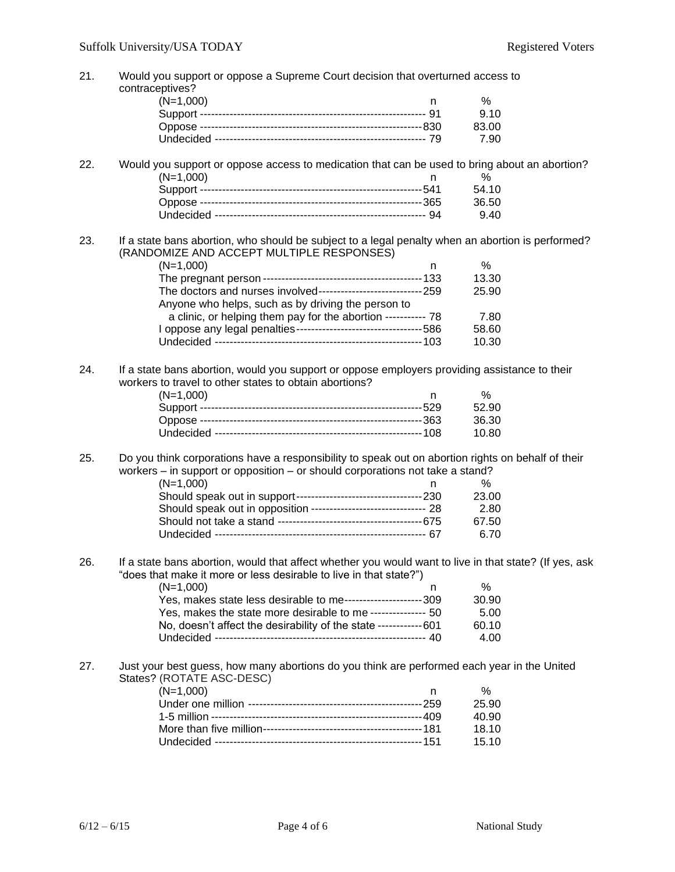21. Would you support or oppose a Supreme Court decision that overturned access to contraceptives? (N=1,000) n % Support ------------------------------------------------------------- 91 9.10 Oppose ------------------------------------------------------------830 83.00 Undecided --------------------------------------------------------- 79 7.90 22. Would you support or oppose access to medication that can be used to bring about an abortion? (N=1,000) n % Support ------------------------------------------------------------541 54.10 Oppose ------------------------------------------------------------365 36.50 Undecided --------------------------------------------------------- 94 9.40 23. If a state bans abortion, who should be subject to a legal penalty when an abortion is performed? (RANDOMIZE AND ACCEPT MULTIPLE RESPONSES)  $(N=1,000)$  n % The pregnant person -------------------------------------------133 13.30 The doctors and nurses involved----------------------------259 25.90 Anyone who helps, such as by driving the person to a clinic, or helping them pay for the abortion ----------- 78 7.80 I oppose any legal penalties----------------------------------586 58.60 Undecided --------------------------------------------------------103 10.30 24. If a state bans abortion, would you support or oppose employers providing assistance to their workers to travel to other states to obtain abortions? (N=1,000) n % Support ------------------------------------------------------------529 52.90 Oppose ------------------------------------------------------------363 36.30 Undecided --------------------------------------------------------108 10.80 25. Do you think corporations have a responsibility to speak out on abortion rights on behalf of their workers – in support or opposition – or should corporations not take a stand? (N=1,000) n % Should speak out in support----------------------------------230 23.00 Should speak out in opposition -------------------------------- 28 2.80 Should not take a stand ---------------------------------------675 67.50 Undecided --------------------------------------------------------- 67 6.70 26. If a state bans abortion, would that affect whether you would want to live in that state? (If yes, ask "does that make it more or less desirable to live in that state?")  $(N=1,000)$  n % Yes, makes state less desirable to me---------------------309 30.90 Yes, makes the state more desirable to me --------------- 50 5.00 No, doesn't affect the desirability of the state ------------601 60.10 Undecided --------------------------------------------------------- 40 4.00 27. Just your best guess, how many abortions do you think are performed each year in the United States? (ROTATE ASC-DESC) (N=1,000) n % Under one million -----------------------------------------------259 25.90 1-5 million ---------------------------------------------------------409 40.90 More than five million-------------------------------------------181 18.10 Undecided --------------------------------------------------------151 15.10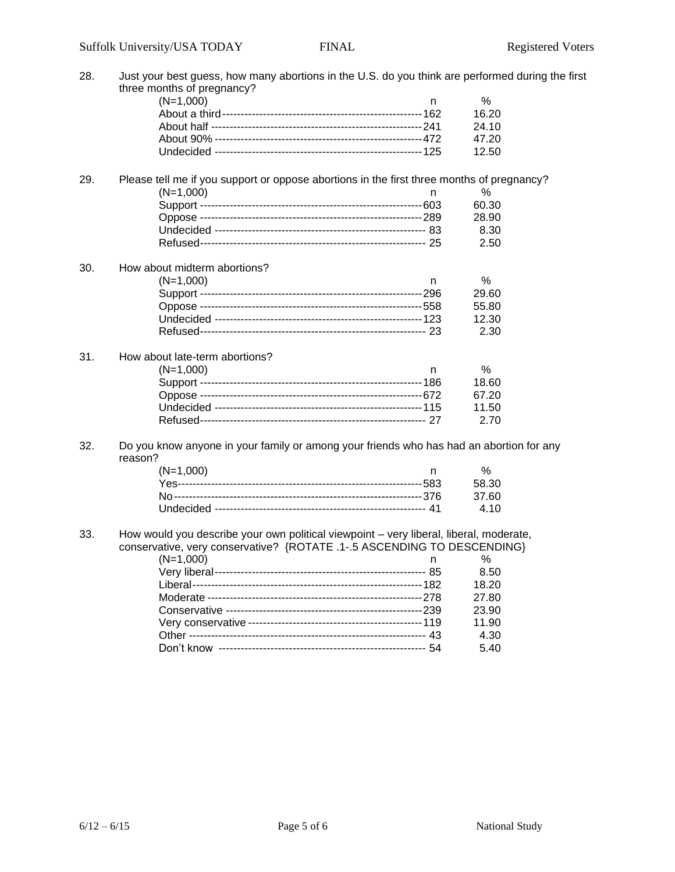| 28. | Just your best guess, how many abortions in the U.S. do you think are performed during the first                                                                                           |       |  |  |
|-----|--------------------------------------------------------------------------------------------------------------------------------------------------------------------------------------------|-------|--|--|
|     | three months of pregnancy?                                                                                                                                                                 |       |  |  |
|     | $(N=1,000)$<br>n.                                                                                                                                                                          | $\%$  |  |  |
|     |                                                                                                                                                                                            | 16.20 |  |  |
|     |                                                                                                                                                                                            | 24.10 |  |  |
|     |                                                                                                                                                                                            | 47.20 |  |  |
|     |                                                                                                                                                                                            | 12.50 |  |  |
| 29. | Please tell me if you support or oppose abortions in the first three months of pregnancy?                                                                                                  |       |  |  |
|     | $(N=1,000)$<br>n                                                                                                                                                                           | %     |  |  |
|     |                                                                                                                                                                                            | 60.30 |  |  |
|     |                                                                                                                                                                                            | 28.90 |  |  |
|     |                                                                                                                                                                                            | 8.30  |  |  |
|     |                                                                                                                                                                                            | 2.50  |  |  |
| 30. | How about midterm abortions?                                                                                                                                                               |       |  |  |
|     | $(N=1,000)$<br>n.                                                                                                                                                                          | %     |  |  |
|     |                                                                                                                                                                                            | 29.60 |  |  |
|     |                                                                                                                                                                                            | 55.80 |  |  |
|     |                                                                                                                                                                                            | 12.30 |  |  |
|     |                                                                                                                                                                                            | 2.30  |  |  |
| 31. | How about late-term abortions?                                                                                                                                                             |       |  |  |
|     | $(N=1,000)$<br>n.                                                                                                                                                                          | %     |  |  |
|     |                                                                                                                                                                                            | 18.60 |  |  |
|     |                                                                                                                                                                                            | 67.20 |  |  |
|     |                                                                                                                                                                                            | 11.50 |  |  |
|     |                                                                                                                                                                                            | 2.70  |  |  |
| 32. | Do you know anyone in your family or among your friends who has had an abortion for any<br>reason?                                                                                         |       |  |  |
|     | $(N=1,000)$<br>n.                                                                                                                                                                          | %     |  |  |
|     |                                                                                                                                                                                            | 58.30 |  |  |
|     |                                                                                                                                                                                            | 37.60 |  |  |
|     |                                                                                                                                                                                            | 4.10  |  |  |
| 33. | How would you describe your own political viewpoint - very liberal, liberal, moderate,<br>conservative, very conservative? {ROTATE .1-.5 ASCENDING TO DESCENDING}<br>$(N=1,000)$<br>%<br>n |       |  |  |
|     |                                                                                                                                                                                            | 8.50  |  |  |
|     |                                                                                                                                                                                            | 18.20 |  |  |
|     |                                                                                                                                                                                            |       |  |  |
|     |                                                                                                                                                                                            | 27.80 |  |  |
|     |                                                                                                                                                                                            | 23.90 |  |  |
|     |                                                                                                                                                                                            | 11.90 |  |  |
|     |                                                                                                                                                                                            | 4.30  |  |  |
|     |                                                                                                                                                                                            | 5.40  |  |  |